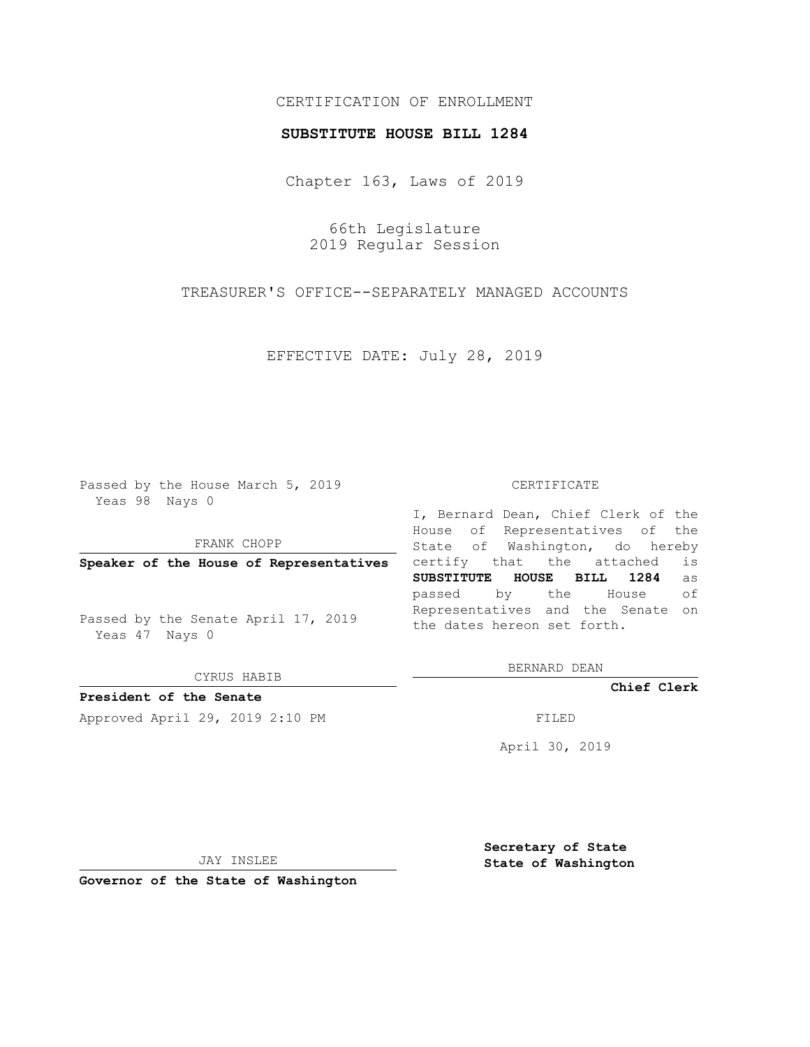## CERTIFICATION OF ENROLLMENT

#### **SUBSTITUTE HOUSE BILL 1284**

Chapter 163, Laws of 2019

66th Legislature 2019 Regular Session

TREASURER'S OFFICE--SEPARATELY MANAGED ACCOUNTS

EFFECTIVE DATE: July 28, 2019

Passed by the House March 5, 2019 Yeas 98 Nays 0

FRANK CHOPP

**Speaker of the House of Representatives**

Passed by the Senate April 17, 2019 Yeas 47 Nays 0

CYRUS HABIB

**President of the Senate**

Approved April 29, 2019 2:10 PM FILED

#### CERTIFICATE

I, Bernard Dean, Chief Clerk of the House of Representatives of the State of Washington, do hereby certify that the attached is **SUBSTITUTE HOUSE BILL 1284** as passed by the House of Representatives and the Senate on the dates hereon set forth.

BERNARD DEAN

**Chief Clerk**

April 30, 2019

JAY INSLEE

**Governor of the State of Washington**

**Secretary of State State of Washington**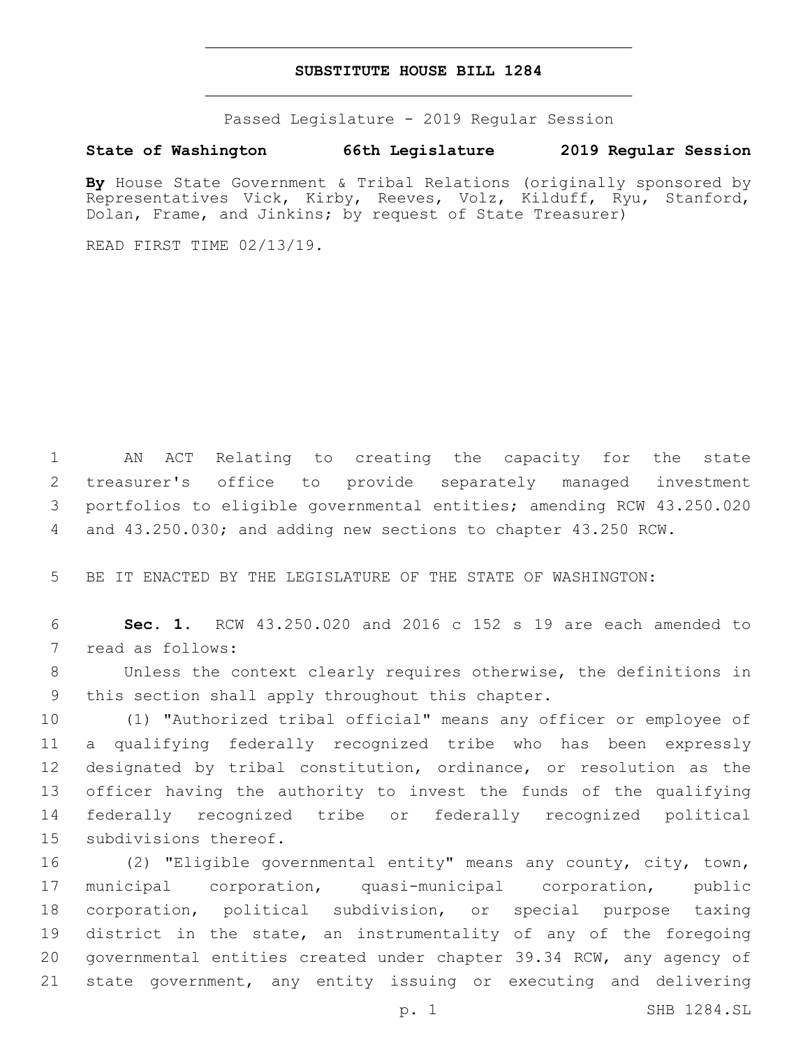### **SUBSTITUTE HOUSE BILL 1284**

Passed Legislature - 2019 Regular Session

### **State of Washington 66th Legislature 2019 Regular Session**

**By** House State Government & Tribal Relations (originally sponsored by Representatives Vick, Kirby, Reeves, Volz, Kilduff, Ryu, Stanford, Dolan, Frame, and Jinkins; by request of State Treasurer)

READ FIRST TIME 02/13/19.

 AN ACT Relating to creating the capacity for the state treasurer's office to provide separately managed investment portfolios to eligible governmental entities; amending RCW 43.250.020 and 43.250.030; and adding new sections to chapter 43.250 RCW.

BE IT ENACTED BY THE LEGISLATURE OF THE STATE OF WASHINGTON:

 **Sec. 1.** RCW 43.250.020 and 2016 c 152 s 19 are each amended to 7 read as follows:

 Unless the context clearly requires otherwise, the definitions in 9 this section shall apply throughout this chapter.

 (1) "Authorized tribal official" means any officer or employee of a qualifying federally recognized tribe who has been expressly designated by tribal constitution, ordinance, or resolution as the officer having the authority to invest the funds of the qualifying federally recognized tribe or federally recognized political 15 subdivisions thereof.

 (2) "Eligible governmental entity" means any county, city, town, municipal corporation, quasi-municipal corporation, public corporation, political subdivision, or special purpose taxing district in the state, an instrumentality of any of the foregoing governmental entities created under chapter 39.34 RCW, any agency of state government, any entity issuing or executing and delivering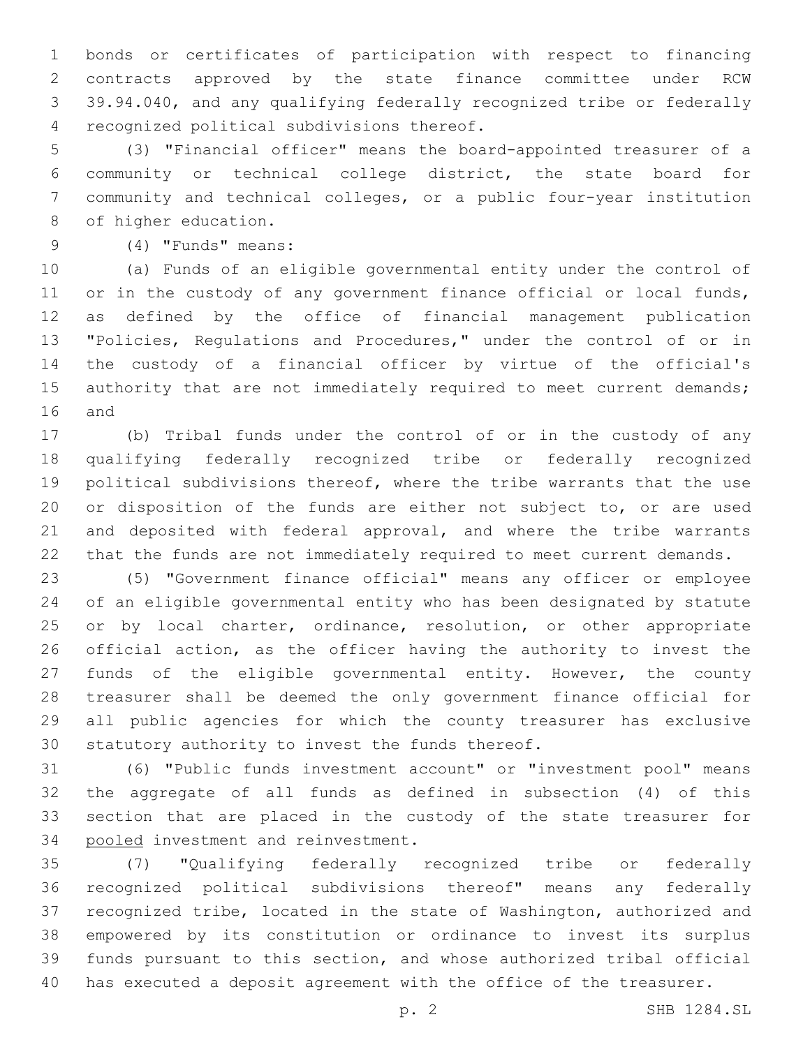bonds or certificates of participation with respect to financing contracts approved by the state finance committee under RCW 39.94.040, and any qualifying federally recognized tribe or federally 4 recognized political subdivisions thereof.

 (3) "Financial officer" means the board-appointed treasurer of a community or technical college district, the state board for community and technical colleges, or a public four-year institution 8 of higher education.

# (4) "Funds" means:9

 (a) Funds of an eligible governmental entity under the control of or in the custody of any government finance official or local funds, as defined by the office of financial management publication "Policies, Regulations and Procedures," under the control of or in the custody of a financial officer by virtue of the official's 15 authority that are not immediately required to meet current demands; 16 and

 (b) Tribal funds under the control of or in the custody of any qualifying federally recognized tribe or federally recognized political subdivisions thereof, where the tribe warrants that the use or disposition of the funds are either not subject to, or are used and deposited with federal approval, and where the tribe warrants that the funds are not immediately required to meet current demands.

 (5) "Government finance official" means any officer or employee of an eligible governmental entity who has been designated by statute 25 or by local charter, ordinance, resolution, or other appropriate official action, as the officer having the authority to invest the funds of the eligible governmental entity. However, the county treasurer shall be deemed the only government finance official for all public agencies for which the county treasurer has exclusive 30 statutory authority to invest the funds thereof.

 (6) "Public funds investment account" or "investment pool" means the aggregate of all funds as defined in subsection (4) of this section that are placed in the custody of the state treasurer for 34 pooled investment and reinvestment.

 (7) "Qualifying federally recognized tribe or federally recognized political subdivisions thereof" means any federally recognized tribe, located in the state of Washington, authorized and empowered by its constitution or ordinance to invest its surplus funds pursuant to this section, and whose authorized tribal official has executed a deposit agreement with the office of the treasurer.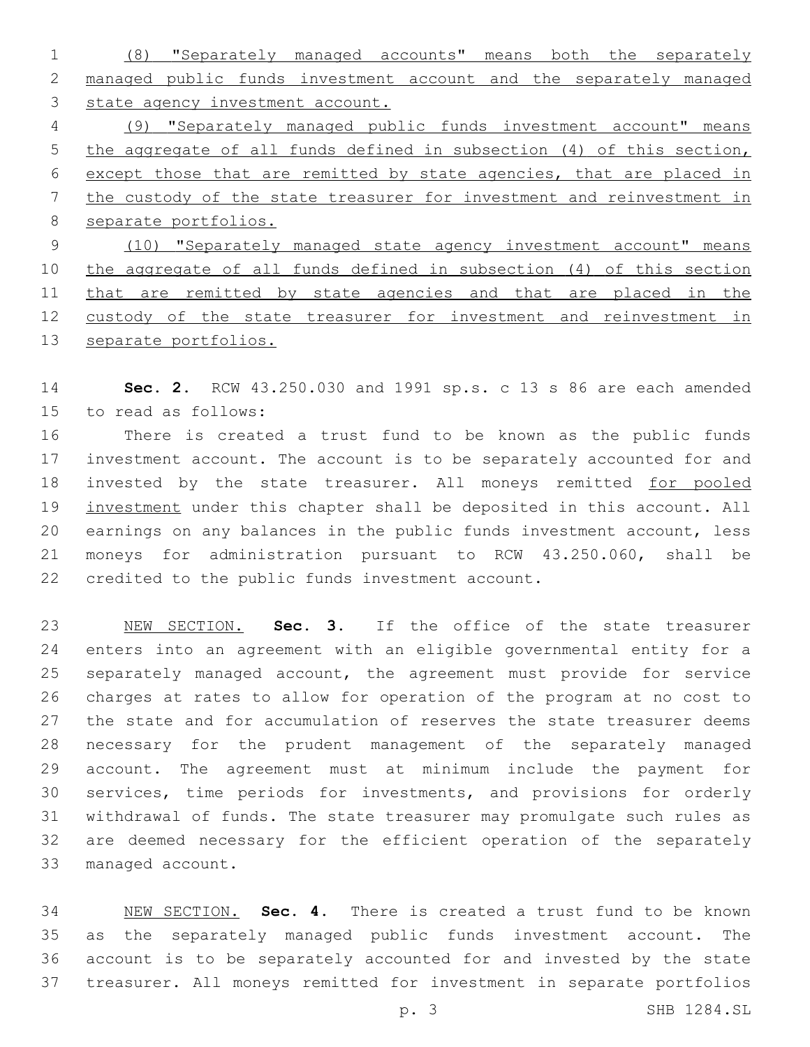(8) "Separately managed accounts" means both the separately managed public funds investment account and the separately managed state agency investment account. (9) "Separately managed public funds investment account" means 5 the aggregate of all funds defined in subsection (4) of this section, except those that are remitted by state agencies, that are placed in the custody of the state treasurer for investment and reinvestment in separate portfolios. (10) "Separately managed state agency investment account" means the aggregate of all funds defined in subsection (4) of this section 11 that are remitted by state agencies and that are placed in the custody of the state treasurer for investment and reinvestment in

separate portfolios.

 **Sec. 2.** RCW 43.250.030 and 1991 sp.s. c 13 s 86 are each amended 15 to read as follows:

 There is created a trust fund to be known as the public funds investment account. The account is to be separately accounted for and 18 invested by the state treasurer. All moneys remitted for pooled 19 investment under this chapter shall be deposited in this account. All earnings on any balances in the public funds investment account, less moneys for administration pursuant to RCW 43.250.060, shall be 22 credited to the public funds investment account.

 NEW SECTION. **Sec. 3.** If the office of the state treasurer enters into an agreement with an eligible governmental entity for a separately managed account, the agreement must provide for service charges at rates to allow for operation of the program at no cost to the state and for accumulation of reserves the state treasurer deems necessary for the prudent management of the separately managed account. The agreement must at minimum include the payment for services, time periods for investments, and provisions for orderly withdrawal of funds. The state treasurer may promulgate such rules as are deemed necessary for the efficient operation of the separately managed account.

 NEW SECTION. **Sec. 4.** There is created a trust fund to be known as the separately managed public funds investment account. The account is to be separately accounted for and invested by the state treasurer. All moneys remitted for investment in separate portfolios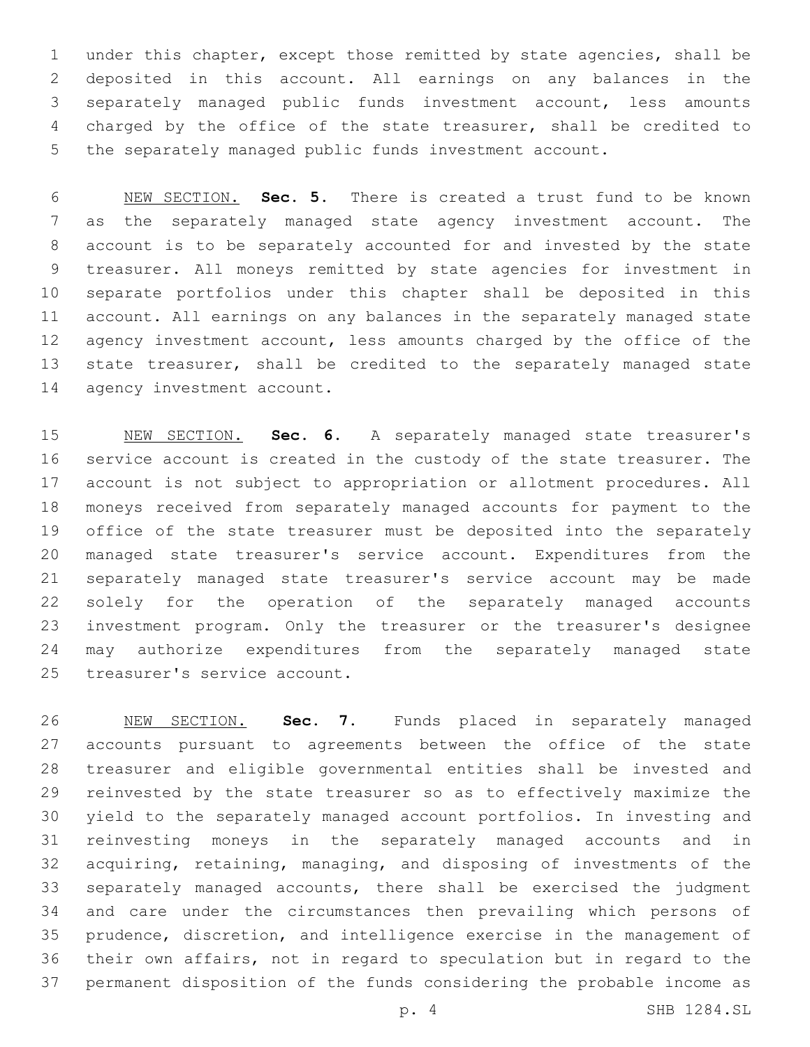under this chapter, except those remitted by state agencies, shall be deposited in this account. All earnings on any balances in the separately managed public funds investment account, less amounts charged by the office of the state treasurer, shall be credited to the separately managed public funds investment account.

 NEW SECTION. **Sec. 5.** There is created a trust fund to be known as the separately managed state agency investment account. The account is to be separately accounted for and invested by the state treasurer. All moneys remitted by state agencies for investment in separate portfolios under this chapter shall be deposited in this account. All earnings on any balances in the separately managed state 12 agency investment account, less amounts charged by the office of the 13 state treasurer, shall be credited to the separately managed state agency investment account.

 NEW SECTION. **Sec. 6.** A separately managed state treasurer's service account is created in the custody of the state treasurer. The account is not subject to appropriation or allotment procedures. All moneys received from separately managed accounts for payment to the office of the state treasurer must be deposited into the separately managed state treasurer's service account. Expenditures from the separately managed state treasurer's service account may be made solely for the operation of the separately managed accounts investment program. Only the treasurer or the treasurer's designee may authorize expenditures from the separately managed state treasurer's service account.

 NEW SECTION. **Sec. 7.** Funds placed in separately managed accounts pursuant to agreements between the office of the state treasurer and eligible governmental entities shall be invested and reinvested by the state treasurer so as to effectively maximize the yield to the separately managed account portfolios. In investing and reinvesting moneys in the separately managed accounts and in acquiring, retaining, managing, and disposing of investments of the separately managed accounts, there shall be exercised the judgment and care under the circumstances then prevailing which persons of prudence, discretion, and intelligence exercise in the management of their own affairs, not in regard to speculation but in regard to the permanent disposition of the funds considering the probable income as